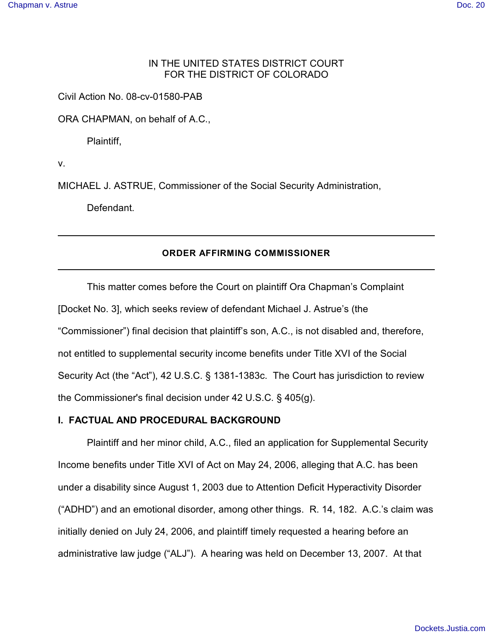# IN THE UNITED STATES DISTRICT COURT FOR THE DISTRICT OF COLORADO

Civil Action No. 08-cv-01580-PAB

ORA CHAPMAN, on behalf of A.C.,

Plaintiff,

v.

MICHAEL J. ASTRUE, Commissioner of the Social Security Administration,

Defendant.

### **ORDER AFFIRMING COMMISSIONER**

This matter comes before the Court on plaintiff Ora Chapman's Complaint [Docket No. 3], which seeks review of defendant Michael J. Astrue's (the "Commissioner") final decision that plaintiff's son, A.C., is not disabled and, therefore, not entitled to supplemental security income benefits under Title XVI of the Social Security Act (the "Act"), 42 U.S.C. § 1381-1383c. The Court has jurisdiction to review the Commissioner's final decision under 42 U.S.C. § 405(g).

# **I. FACTUAL AND PROCEDURAL BACKGROUND**

Plaintiff and her minor child, A.C., filed an application for Supplemental Security Income benefits under Title XVI of Act on May 24, 2006, alleging that A.C. has been under a disability since August 1, 2003 due to Attention Deficit Hyperactivity Disorder ("ADHD") and an emotional disorder, among other things. R. 14, 182. A.C.'s claim was initially denied on July 24, 2006, and plaintiff timely requested a hearing before an administrative law judge ("ALJ"). A hearing was held on December 13, 2007. At that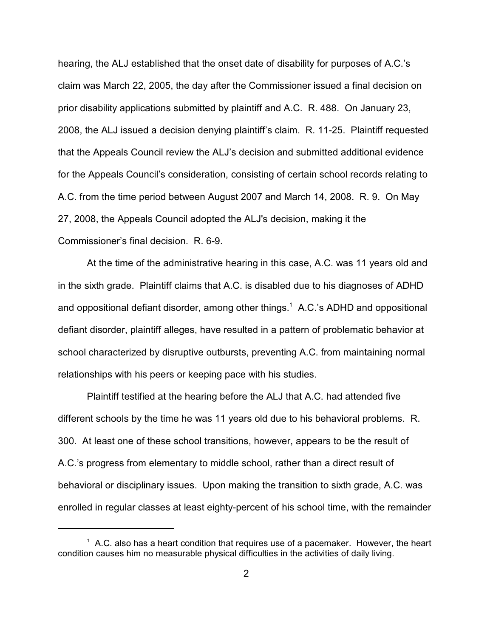hearing, the ALJ established that the onset date of disability for purposes of A.C.'s claim was March 22, 2005, the day after the Commissioner issued a final decision on prior disability applications submitted by plaintiff and A.C. R. 488. On January 23, 2008, the ALJ issued a decision denying plaintiff's claim. R. 11-25. Plaintiff requested that the Appeals Council review the ALJ's decision and submitted additional evidence for the Appeals Council's consideration, consisting of certain school records relating to A.C. from the time period between August 2007 and March 14, 2008. R. 9. On May 27, 2008, the Appeals Council adopted the ALJ's decision, making it the Commissioner's final decision. R. 6-9.

At the time of the administrative hearing in this case, A.C. was 11 years old and in the sixth grade. Plaintiff claims that A.C. is disabled due to his diagnoses of ADHD and oppositional defiant disorder, among other things.<sup>1</sup> A.C.'s ADHD and oppositional defiant disorder, plaintiff alleges, have resulted in a pattern of problematic behavior at school characterized by disruptive outbursts, preventing A.C. from maintaining normal relationships with his peers or keeping pace with his studies.

Plaintiff testified at the hearing before the ALJ that A.C. had attended five different schools by the time he was 11 years old due to his behavioral problems. R. 300. At least one of these school transitions, however, appears to be the result of A.C.'s progress from elementary to middle school, rather than a direct result of behavioral or disciplinary issues. Upon making the transition to sixth grade, A.C. was enrolled in regular classes at least eighty-percent of his school time, with the remainder

 $^1$  A.C. also has a heart condition that requires use of a pacemaker. However, the heart condition causes him no measurable physical difficulties in the activities of daily living.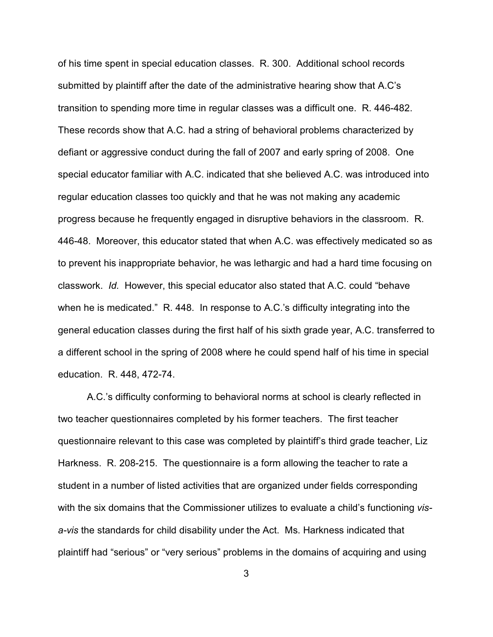of his time spent in special education classes. R. 300. Additional school records submitted by plaintiff after the date of the administrative hearing show that A.C's transition to spending more time in regular classes was a difficult one. R. 446-482. These records show that A.C. had a string of behavioral problems characterized by defiant or aggressive conduct during the fall of 2007 and early spring of 2008. One special educator familiar with A.C. indicated that she believed A.C. was introduced into regular education classes too quickly and that he was not making any academic progress because he frequently engaged in disruptive behaviors in the classroom. R. 446-48. Moreover, this educator stated that when A.C. was effectively medicated so as to prevent his inappropriate behavior, he was lethargic and had a hard time focusing on classwork. *Id.* However, this special educator also stated that A.C. could "behave when he is medicated." R. 448. In response to A.C.'s difficulty integrating into the general education classes during the first half of his sixth grade year, A.C. transferred to a different school in the spring of 2008 where he could spend half of his time in special education. R. 448, 472-74.

A.C.'s difficulty conforming to behavioral norms at school is clearly reflected in two teacher questionnaires completed by his former teachers. The first teacher questionnaire relevant to this case was completed by plaintiff's third grade teacher, Liz Harkness. R. 208-215. The questionnaire is a form allowing the teacher to rate a student in a number of listed activities that are organized under fields corresponding with the six domains that the Commissioner utilizes to evaluate a child's functioning *visa-vis* the standards for child disability under the Act. Ms. Harkness indicated that plaintiff had "serious" or "very serious" problems in the domains of acquiring and using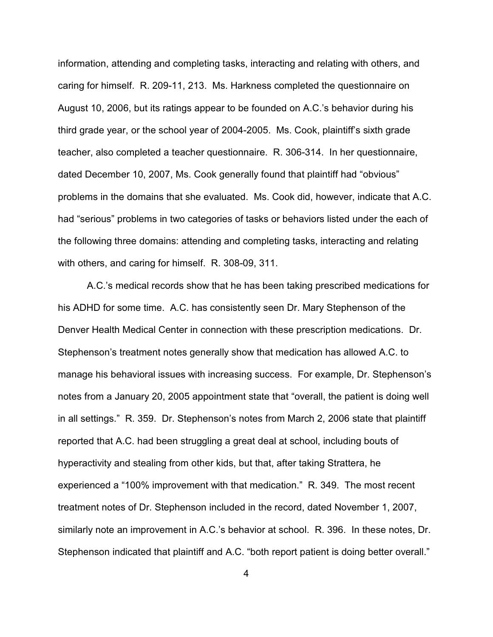information, attending and completing tasks, interacting and relating with others, and caring for himself. R. 209-11, 213. Ms. Harkness completed the questionnaire on August 10, 2006, but its ratings appear to be founded on A.C.'s behavior during his third grade year, or the school year of 2004-2005. Ms. Cook, plaintiff's sixth grade teacher, also completed a teacher questionnaire. R. 306-314. In her questionnaire, dated December 10, 2007, Ms. Cook generally found that plaintiff had "obvious" problems in the domains that she evaluated. Ms. Cook did, however, indicate that A.C. had "serious" problems in two categories of tasks or behaviors listed under the each of the following three domains: attending and completing tasks, interacting and relating with others, and caring for himself. R. 308-09, 311.

A.C.'s medical records show that he has been taking prescribed medications for his ADHD for some time. A.C. has consistently seen Dr. Mary Stephenson of the Denver Health Medical Center in connection with these prescription medications. Dr. Stephenson's treatment notes generally show that medication has allowed A.C. to manage his behavioral issues with increasing success. For example, Dr. Stephenson's notes from a January 20, 2005 appointment state that "overall, the patient is doing well in all settings." R. 359. Dr. Stephenson's notes from March 2, 2006 state that plaintiff reported that A.C. had been struggling a great deal at school, including bouts of hyperactivity and stealing from other kids, but that, after taking Strattera, he experienced a "100% improvement with that medication." R. 349. The most recent treatment notes of Dr. Stephenson included in the record, dated November 1, 2007, similarly note an improvement in A.C.'s behavior at school. R. 396. In these notes, Dr. Stephenson indicated that plaintiff and A.C. "both report patient is doing better overall."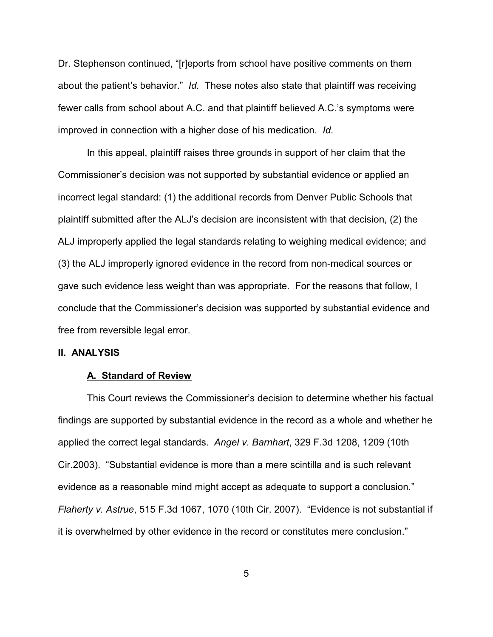Dr. Stephenson continued, "[r]eports from school have positive comments on them about the patient's behavior." *Id.* These notes also state that plaintiff was receiving fewer calls from school about A.C. and that plaintiff believed A.C.'s symptoms were improved in connection with a higher dose of his medication. *Id.*

In this appeal, plaintiff raises three grounds in support of her claim that the Commissioner's decision was not supported by substantial evidence or applied an incorrect legal standard: (1) the additional records from Denver Public Schools that plaintiff submitted after the ALJ's decision are inconsistent with that decision, (2) the ALJ improperly applied the legal standards relating to weighing medical evidence; and (3) the ALJ improperly ignored evidence in the record from non-medical sources or gave such evidence less weight than was appropriate. For the reasons that follow, I conclude that the Commissioner's decision was supported by substantial evidence and free from reversible legal error.

#### **II. ANALYSIS**

#### **A. Standard of Review**

This Court reviews the Commissioner's decision to determine whether his factual findings are supported by substantial evidence in the record as a whole and whether he applied the correct legal standards. *Angel v. Barnhart*, 329 F.3d 1208, 1209 (10th Cir.2003). "Substantial evidence is more than a mere scintilla and is such relevant evidence as a reasonable mind might accept as adequate to support a conclusion." *Flaherty v. Astrue*, 515 F.3d 1067, 1070 (10th Cir. 2007). "Evidence is not substantial if it is overwhelmed by other evidence in the record or constitutes mere conclusion."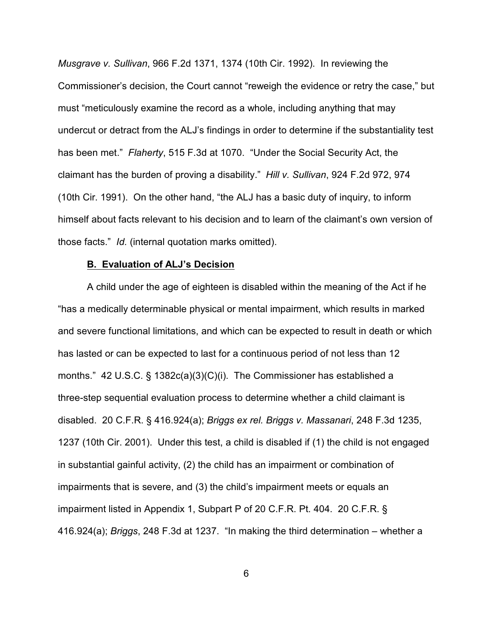*Musgrave v. Sullivan*, 966 F.2d 1371, 1374 (10th Cir. 1992). In reviewing the Commissioner's decision, the Court cannot "reweigh the evidence or retry the case," but must "meticulously examine the record as a whole, including anything that may undercut or detract from the ALJ's findings in order to determine if the substantiality test has been met." *Flaherty*, 515 F.3d at 1070. "Under the Social Security Act, the claimant has the burden of proving a disability." *Hill v. Sullivan*, 924 F.2d 972, 974 (10th Cir. 1991). On the other hand, "the ALJ has a basic duty of inquiry, to inform himself about facts relevant to his decision and to learn of the claimant's own version of those facts." *Id.* (internal quotation marks omitted).

### **B. Evaluation of ALJ's Decision**

A child under the age of eighteen is disabled within the meaning of the Act if he "has a medically determinable physical or mental impairment, which results in marked and severe functional limitations, and which can be expected to result in death or which has lasted or can be expected to last for a continuous period of not less than 12 months." 42 U.S.C. § 1382c(a)(3)(C)(i). The Commissioner has established a three-step sequential evaluation process to determine whether a child claimant is disabled. 20 C.F.R. § 416.924(a); *Briggs ex rel. Briggs v. Massanari*, 248 F.3d 1235, 1237 (10th Cir. 2001). Under this test, a child is disabled if (1) the child is not engaged in substantial gainful activity, (2) the child has an impairment or combination of impairments that is severe, and (3) the child's impairment meets or equals an impairment listed in Appendix 1, Subpart P of 20 C.F.R. Pt. 404. 20 C.F.R. § 416.924(a); *Briggs*, 248 F.3d at 1237. "In making the third determination – whether a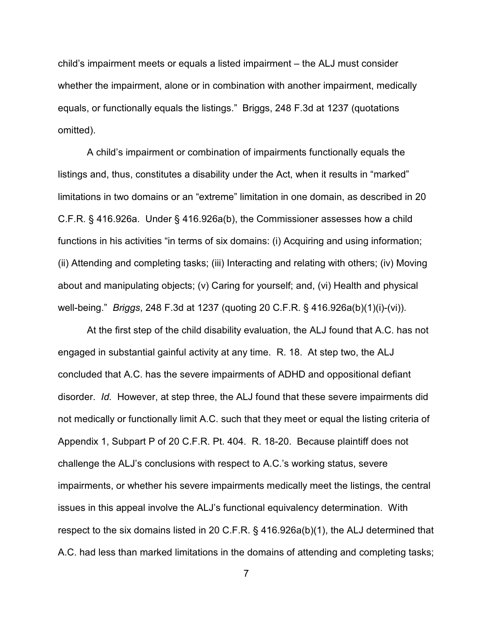child's impairment meets or equals a listed impairment – the ALJ must consider whether the impairment, alone or in combination with another impairment, medically equals, or functionally equals the listings." Briggs, 248 F.3d at 1237 (quotations omitted).

A child's impairment or combination of impairments functionally equals the listings and, thus, constitutes a disability under the Act, when it results in "marked" limitations in two domains or an "extreme" limitation in one domain, as described in 20 C.F.R. § 416.926a. Under § 416.926a(b), the Commissioner assesses how a child functions in his activities "in terms of six domains: (i) Acquiring and using information; (ii) Attending and completing tasks; (iii) Interacting and relating with others; (iv) Moving about and manipulating objects; (v) Caring for yourself; and, (vi) Health and physical well-being." *Briggs*, 248 F.3d at 1237 (quoting 20 C.F.R. § 416.926a(b)(1)(i)-(vi)).

At the first step of the child disability evaluation, the ALJ found that A.C. has not engaged in substantial gainful activity at any time. R. 18. At step two, the ALJ concluded that A.C. has the severe impairments of ADHD and oppositional defiant disorder. *Id.* However, at step three, the ALJ found that these severe impairments did not medically or functionally limit A.C. such that they meet or equal the listing criteria of Appendix 1, Subpart P of 20 C.F.R. Pt. 404. R. 18-20. Because plaintiff does not challenge the ALJ's conclusions with respect to A.C.'s working status, severe impairments, or whether his severe impairments medically meet the listings, the central issues in this appeal involve the ALJ's functional equivalency determination. With respect to the six domains listed in 20 C.F.R. § 416.926a(b)(1), the ALJ determined that A.C. had less than marked limitations in the domains of attending and completing tasks;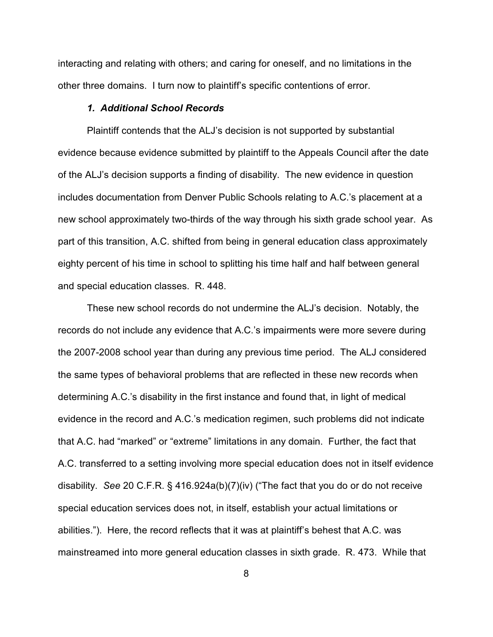interacting and relating with others; and caring for oneself, and no limitations in the other three domains. I turn now to plaintiff's specific contentions of error.

# *1. Additional School Records*

Plaintiff contends that the ALJ's decision is not supported by substantial evidence because evidence submitted by plaintiff to the Appeals Council after the date of the ALJ's decision supports a finding of disability. The new evidence in question includes documentation from Denver Public Schools relating to A.C.'s placement at a new school approximately two-thirds of the way through his sixth grade school year. As part of this transition, A.C. shifted from being in general education class approximately eighty percent of his time in school to splitting his time half and half between general and special education classes. R. 448.

These new school records do not undermine the ALJ's decision. Notably, the records do not include any evidence that A.C.'s impairments were more severe during the 2007-2008 school year than during any previous time period. The ALJ considered the same types of behavioral problems that are reflected in these new records when determining A.C.'s disability in the first instance and found that, in light of medical evidence in the record and A.C.'s medication regimen, such problems did not indicate that A.C. had "marked" or "extreme" limitations in any domain. Further, the fact that A.C. transferred to a setting involving more special education does not in itself evidence disability. *See* 20 C.F.R. § 416.924a(b)(7)(iv) ("The fact that you do or do not receive special education services does not, in itself, establish your actual limitations or abilities."). Here, the record reflects that it was at plaintiff's behest that A.C. was mainstreamed into more general education classes in sixth grade. R. 473. While that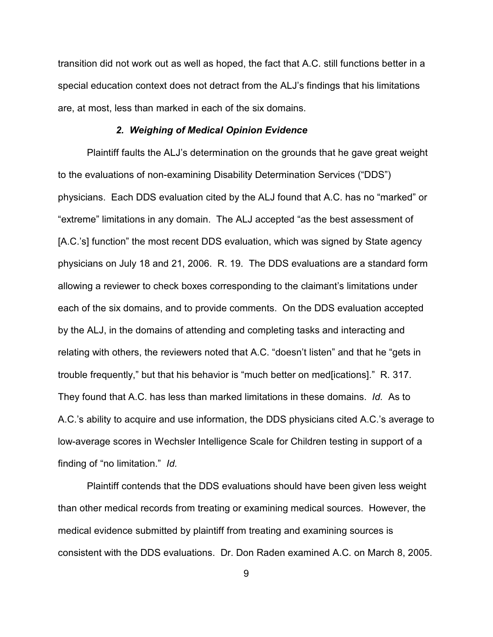transition did not work out as well as hoped, the fact that A.C. still functions better in a special education context does not detract from the ALJ's findings that his limitations are, at most, less than marked in each of the six domains.

# *2. Weighing of Medical Opinion Evidence*

Plaintiff faults the ALJ's determination on the grounds that he gave great weight to the evaluations of non-examining Disability Determination Services ("DDS") physicians. Each DDS evaluation cited by the ALJ found that A.C. has no "marked" or "extreme" limitations in any domain. The ALJ accepted "as the best assessment of [A.C.'s] function" the most recent DDS evaluation, which was signed by State agency physicians on July 18 and 21, 2006. R. 19. The DDS evaluations are a standard form allowing a reviewer to check boxes corresponding to the claimant's limitations under each of the six domains, and to provide comments. On the DDS evaluation accepted by the ALJ, in the domains of attending and completing tasks and interacting and relating with others, the reviewers noted that A.C. "doesn't listen" and that he "gets in trouble frequently," but that his behavior is "much better on med[ications]." R. 317. They found that A.C. has less than marked limitations in these domains. *Id.* As to A.C.'s ability to acquire and use information, the DDS physicians cited A.C.'s average to low-average scores in Wechsler Intelligence Scale for Children testing in support of a finding of "no limitation." *Id.*

Plaintiff contends that the DDS evaluations should have been given less weight than other medical records from treating or examining medical sources. However, the medical evidence submitted by plaintiff from treating and examining sources is consistent with the DDS evaluations. Dr. Don Raden examined A.C. on March 8, 2005.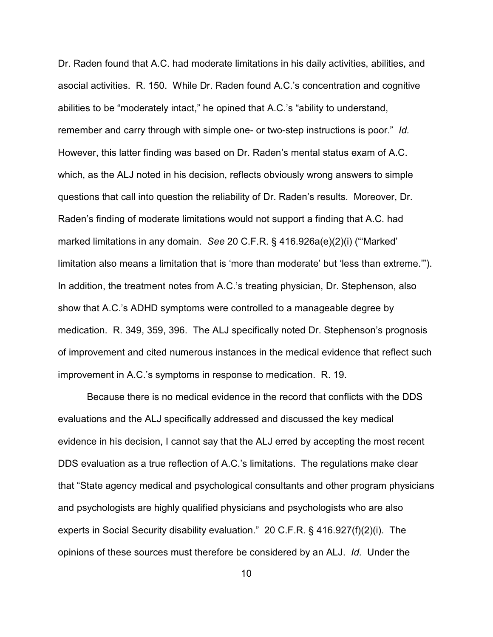Dr. Raden found that A.C. had moderate limitations in his daily activities, abilities, and asocial activities. R. 150. While Dr. Raden found A.C.'s concentration and cognitive abilities to be "moderately intact," he opined that A.C.'s "ability to understand, remember and carry through with simple one- or two-step instructions is poor." *Id.* However, this latter finding was based on Dr. Raden's mental status exam of A.C. which, as the ALJ noted in his decision, reflects obviously wrong answers to simple questions that call into question the reliability of Dr. Raden's results. Moreover, Dr. Raden's finding of moderate limitations would not support a finding that A.C. had marked limitations in any domain. *See* 20 C.F.R. § 416.926a(e)(2)(i) ("'Marked' limitation also means a limitation that is 'more than moderate' but 'less than extreme.'"). In addition, the treatment notes from A.C.'s treating physician, Dr. Stephenson, also show that A.C.'s ADHD symptoms were controlled to a manageable degree by medication. R. 349, 359, 396. The ALJ specifically noted Dr. Stephenson's prognosis of improvement and cited numerous instances in the medical evidence that reflect such improvement in A.C.'s symptoms in response to medication. R. 19.

Because there is no medical evidence in the record that conflicts with the DDS evaluations and the ALJ specifically addressed and discussed the key medical evidence in his decision, I cannot say that the ALJ erred by accepting the most recent DDS evaluation as a true reflection of A.C.'s limitations. The regulations make clear that "State agency medical and psychological consultants and other program physicians and psychologists are highly qualified physicians and psychologists who are also experts in Social Security disability evaluation." 20 C.F.R. § 416.927(f)(2)(i). The opinions of these sources must therefore be considered by an ALJ. *Id.* Under the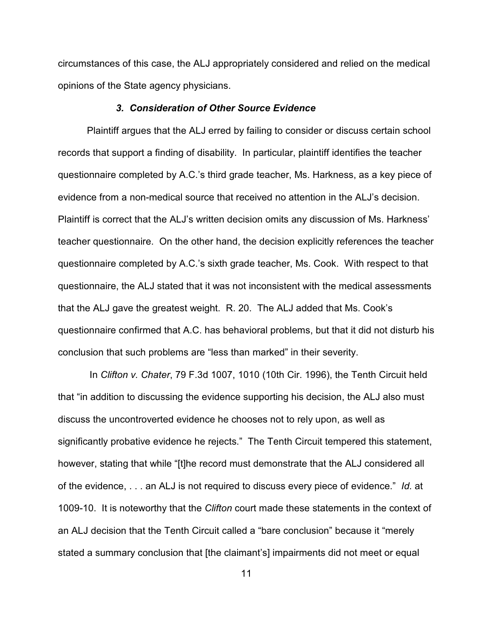circumstances of this case, the ALJ appropriately considered and relied on the medical opinions of the State agency physicians.

### *3. Consideration of Other Source Evidence*

Plaintiff argues that the ALJ erred by failing to consider or discuss certain school records that support a finding of disability. In particular, plaintiff identifies the teacher questionnaire completed by A.C.'s third grade teacher, Ms. Harkness, as a key piece of evidence from a non-medical source that received no attention in the ALJ's decision. Plaintiff is correct that the ALJ's written decision omits any discussion of Ms. Harkness' teacher questionnaire. On the other hand, the decision explicitly references the teacher questionnaire completed by A.C.'s sixth grade teacher, Ms. Cook. With respect to that questionnaire, the ALJ stated that it was not inconsistent with the medical assessments that the ALJ gave the greatest weight. R. 20. The ALJ added that Ms. Cook's questionnaire confirmed that A.C. has behavioral problems, but that it did not disturb his conclusion that such problems are "less than marked" in their severity.

 In *Clifton v. Chater*, 79 F.3d 1007, 1010 (10th Cir. 1996), the Tenth Circuit held that "in addition to discussing the evidence supporting his decision, the ALJ also must discuss the uncontroverted evidence he chooses not to rely upon, as well as significantly probative evidence he rejects." The Tenth Circuit tempered this statement, however, stating that while "[t]he record must demonstrate that the ALJ considered all of the evidence, . . . an ALJ is not required to discuss every piece of evidence." *Id.* at 1009-10. It is noteworthy that the *Clifton* court made these statements in the context of an ALJ decision that the Tenth Circuit called a "bare conclusion" because it "merely stated a summary conclusion that [the claimant's] impairments did not meet or equal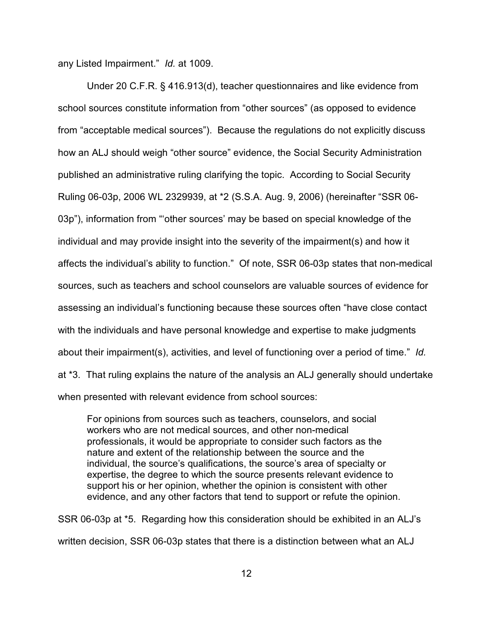any Listed Impairment." *Id.* at 1009.

Under 20 C.F.R. § 416.913(d), teacher questionnaires and like evidence from school sources constitute information from "other sources" (as opposed to evidence from "acceptable medical sources"). Because the regulations do not explicitly discuss how an ALJ should weigh "other source" evidence, the Social Security Administration published an administrative ruling clarifying the topic. According to Social Security Ruling 06-03p, 2006 WL 2329939, at \*2 (S.S.A. Aug. 9, 2006) (hereinafter "SSR 06- 03p"), information from "'other sources' may be based on special knowledge of the individual and may provide insight into the severity of the impairment(s) and how it affects the individual's ability to function." Of note, SSR 06-03p states that non-medical sources, such as teachers and school counselors are valuable sources of evidence for assessing an individual's functioning because these sources often "have close contact with the individuals and have personal knowledge and expertise to make judgments about their impairment(s), activities, and level of functioning over a period of time." *Id.* at \*3. That ruling explains the nature of the analysis an ALJ generally should undertake when presented with relevant evidence from school sources:

For opinions from sources such as teachers, counselors, and social workers who are not medical sources, and other non-medical professionals, it would be appropriate to consider such factors as the nature and extent of the relationship between the source and the individual, the source's qualifications, the source's area of specialty or expertise, the degree to which the source presents relevant evidence to support his or her opinion, whether the opinion is consistent with other evidence, and any other factors that tend to support or refute the opinion.

SSR 06-03p at \*5. Regarding how this consideration should be exhibited in an ALJ's written decision, SSR 06-03p states that there is a distinction between what an ALJ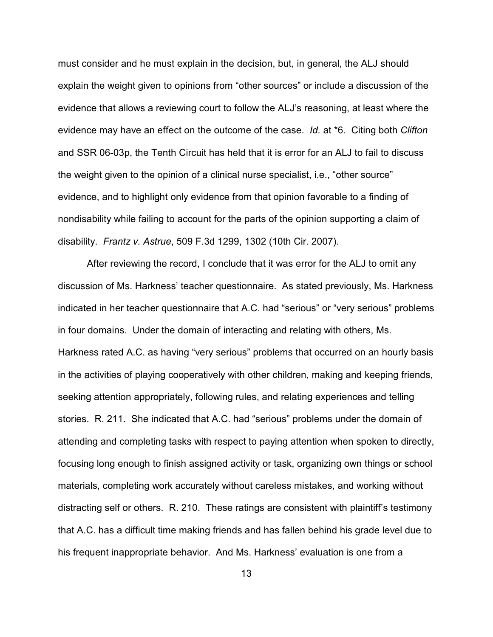must consider and he must explain in the decision, but, in general, the ALJ should explain the weight given to opinions from "other sources" or include a discussion of the evidence that allows a reviewing court to follow the ALJ's reasoning, at least where the evidence may have an effect on the outcome of the case. *Id.* at \*6. Citing both *Clifton* and SSR 06-03p, the Tenth Circuit has held that it is error for an ALJ to fail to discuss the weight given to the opinion of a clinical nurse specialist, i.e., "other source" evidence, and to highlight only evidence from that opinion favorable to a finding of nondisability while failing to account for the parts of the opinion supporting a claim of disability. *Frantz v. Astrue*, 509 F.3d 1299, 1302 (10th Cir. 2007).

After reviewing the record, I conclude that it was error for the ALJ to omit any discussion of Ms. Harkness' teacher questionnaire. As stated previously, Ms. Harkness indicated in her teacher questionnaire that A.C. had "serious" or "very serious" problems in four domains. Under the domain of interacting and relating with others, Ms. Harkness rated A.C. as having "very serious" problems that occurred on an hourly basis in the activities of playing cooperatively with other children, making and keeping friends, seeking attention appropriately, following rules, and relating experiences and telling stories. R. 211. She indicated that A.C. had "serious" problems under the domain of attending and completing tasks with respect to paying attention when spoken to directly, focusing long enough to finish assigned activity or task, organizing own things or school materials, completing work accurately without careless mistakes, and working without distracting self or others. R. 210. These ratings are consistent with plaintiff's testimony that A.C. has a difficult time making friends and has fallen behind his grade level due to his frequent inappropriate behavior. And Ms. Harkness' evaluation is one from a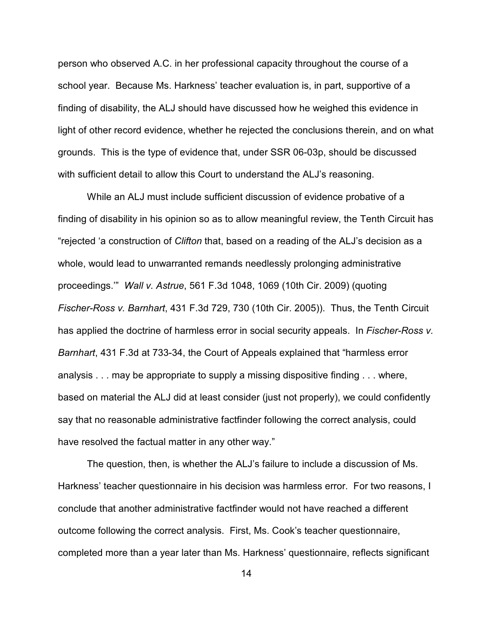person who observed A.C. in her professional capacity throughout the course of a school year. Because Ms. Harkness' teacher evaluation is, in part, supportive of a finding of disability, the ALJ should have discussed how he weighed this evidence in light of other record evidence, whether he rejected the conclusions therein, and on what grounds. This is the type of evidence that, under SSR 06-03p, should be discussed with sufficient detail to allow this Court to understand the ALJ's reasoning.

While an ALJ must include sufficient discussion of evidence probative of a finding of disability in his opinion so as to allow meaningful review, the Tenth Circuit has "rejected 'a construction of *Clifton* that, based on a reading of the ALJ's decision as a whole, would lead to unwarranted remands needlessly prolonging administrative proceedings.'" *Wall v. Astrue*, 561 F.3d 1048, 1069 (10th Cir. 2009) (quoting *Fischer-Ross v. Barnhart*, 431 F.3d 729, 730 (10th Cir. 2005)). Thus, the Tenth Circuit has applied the doctrine of harmless error in social security appeals. In *Fischer-Ross v. Barnhart*, 431 F.3d at 733-34, the Court of Appeals explained that "harmless error analysis . . . may be appropriate to supply a missing dispositive finding . . . where, based on material the ALJ did at least consider (just not properly), we could confidently say that no reasonable administrative factfinder following the correct analysis, could have resolved the factual matter in any other way."

The question, then, is whether the ALJ's failure to include a discussion of Ms. Harkness' teacher questionnaire in his decision was harmless error. For two reasons, I conclude that another administrative factfinder would not have reached a different outcome following the correct analysis. First, Ms. Cook's teacher questionnaire, completed more than a year later than Ms. Harkness' questionnaire, reflects significant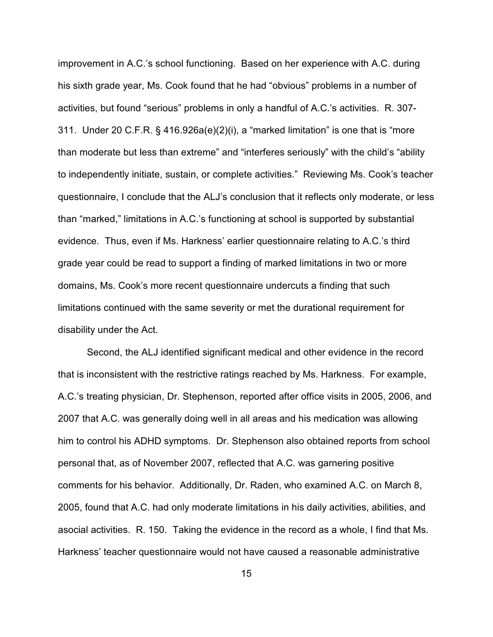improvement in A.C.'s school functioning. Based on her experience with A.C. during his sixth grade year, Ms. Cook found that he had "obvious" problems in a number of activities, but found "serious" problems in only a handful of A.C.'s activities. R. 307- 311. Under 20 C.F.R. § 416.926a(e)(2)(i), a "marked limitation" is one that is "more than moderate but less than extreme" and "interferes seriously" with the child's "ability to independently initiate, sustain, or complete activities." Reviewing Ms. Cook's teacher questionnaire, I conclude that the ALJ's conclusion that it reflects only moderate, or less than "marked," limitations in A.C.'s functioning at school is supported by substantial evidence. Thus, even if Ms. Harkness' earlier questionnaire relating to A.C.'s third grade year could be read to support a finding of marked limitations in two or more domains, Ms. Cook's more recent questionnaire undercuts a finding that such limitations continued with the same severity or met the durational requirement for disability under the Act.

Second, the ALJ identified significant medical and other evidence in the record that is inconsistent with the restrictive ratings reached by Ms. Harkness. For example, A.C.'s treating physician, Dr. Stephenson, reported after office visits in 2005, 2006, and 2007 that A.C. was generally doing well in all areas and his medication was allowing him to control his ADHD symptoms. Dr. Stephenson also obtained reports from school personal that, as of November 2007, reflected that A.C. was garnering positive comments for his behavior. Additionally, Dr. Raden, who examined A.C. on March 8, 2005, found that A.C. had only moderate limitations in his daily activities, abilities, and asocial activities. R. 150. Taking the evidence in the record as a whole, I find that Ms. Harkness' teacher questionnaire would not have caused a reasonable administrative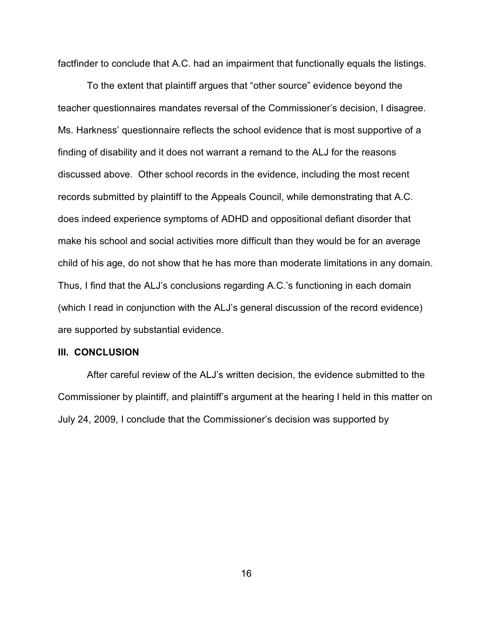factfinder to conclude that A.C. had an impairment that functionally equals the listings.

To the extent that plaintiff argues that "other source" evidence beyond the teacher questionnaires mandates reversal of the Commissioner's decision, I disagree. Ms. Harkness' questionnaire reflects the school evidence that is most supportive of a finding of disability and it does not warrant a remand to the ALJ for the reasons discussed above. Other school records in the evidence, including the most recent records submitted by plaintiff to the Appeals Council, while demonstrating that A.C. does indeed experience symptoms of ADHD and oppositional defiant disorder that make his school and social activities more difficult than they would be for an average child of his age, do not show that he has more than moderate limitations in any domain. Thus, I find that the ALJ's conclusions regarding A.C.'s functioning in each domain (which I read in conjunction with the ALJ's general discussion of the record evidence) are supported by substantial evidence.

#### **III. CONCLUSION**

After careful review of the ALJ's written decision, the evidence submitted to the Commissioner by plaintiff, and plaintiff's argument at the hearing I held in this matter on July 24, 2009, I conclude that the Commissioner's decision was supported by